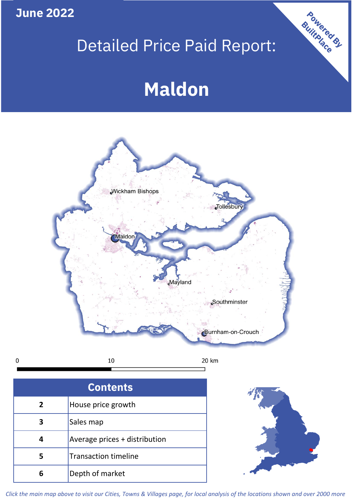**June 2022**

# Detailed Price Paid Report:

# **Maldon**



 $\mathbf 0$ 

10

20 km

| <b>Contents</b> |                               |  |  |  |
|-----------------|-------------------------------|--|--|--|
| $\overline{2}$  | House price growth            |  |  |  |
| 3               | Sales map                     |  |  |  |
|                 | Average prices + distribution |  |  |  |
| 5               | <b>Transaction timeline</b>   |  |  |  |
| 6               | Depth of market               |  |  |  |



Powered By

*Click the main map above to visit our Cities, Towns & Villages page, for local analysis of the locations shown and over 2000 more*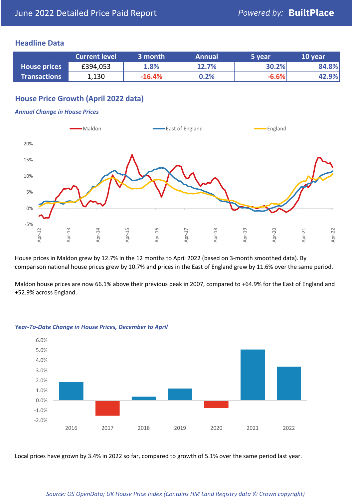#### **Headline Data**

|                     | <b>Current level</b> | 3 month  | <b>Annual</b> | 5 year  | 10 year |
|---------------------|----------------------|----------|---------------|---------|---------|
| <b>House prices</b> | £394,053             | 1.8%     | 12.7%         | 30.2%   | 84.8%   |
| <b>Transactions</b> | 1,130                | $-16.4%$ | 0.2%          | $-6.6%$ | 42.9%   |

## **House Price Growth (April 2022 data)**

#### *Annual Change in House Prices*



House prices in Maldon grew by 12.7% in the 12 months to April 2022 (based on 3-month smoothed data). By comparison national house prices grew by 10.7% and prices in the East of England grew by 11.6% over the same period.

Maldon house prices are now 66.1% above their previous peak in 2007, compared to +64.9% for the East of England and +52.9% across England.



#### *Year-To-Date Change in House Prices, December to April*

Local prices have grown by 3.4% in 2022 so far, compared to growth of 5.1% over the same period last year.

#### *Source: OS OpenData; UK House Price Index (Contains HM Land Registry data © Crown copyright)*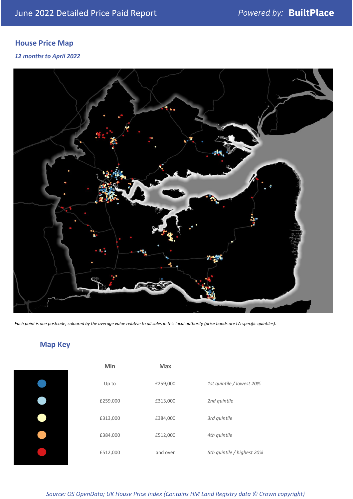## **House Price Map**

#### *12 months to April 2022*



*Each point is one postcode, coloured by the average value relative to all sales in this local authority (price bands are LA-specific quintiles).*

## **Map Key**

| Min      | <b>Max</b> |                            |
|----------|------------|----------------------------|
| Up to    | £259,000   | 1st quintile / lowest 20%  |
| £259,000 | £313,000   | 2nd quintile               |
| £313,000 | £384,000   | 3rd quintile               |
| £384,000 | £512,000   | 4th quintile               |
| £512,000 | and over   | 5th quintile / highest 20% |

#### *Source: OS OpenData; UK House Price Index (Contains HM Land Registry data © Crown copyright)*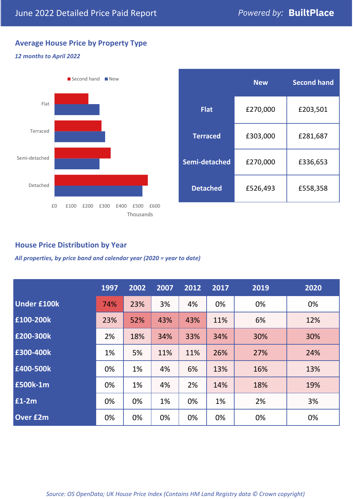## **Average House Price by Property Type**

#### *12 months to April 2022*



|                 | <b>New</b> | <b>Second hand</b> |  |
|-----------------|------------|--------------------|--|
| <b>Flat</b>     | £270,000   | £203,501           |  |
| <b>Terraced</b> | £303,000   | £281,687           |  |
| Semi-detached   | £270,000   | £336,653           |  |
| <b>Detached</b> | £526,493   | £558,358           |  |

### **House Price Distribution by Year**

*All properties, by price band and calendar year (2020 = year to date)*

|                    | 1997 | 2002 | 2007 | 2012 | 2017 | 2019 | 2020 |
|--------------------|------|------|------|------|------|------|------|
| <b>Under £100k</b> | 74%  | 23%  | 3%   | 4%   | 0%   | 0%   | 0%   |
| £100-200k          | 23%  | 52%  | 43%  | 43%  | 11%  | 6%   | 12%  |
| E200-300k          | 2%   | 18%  | 34%  | 33%  | 34%  | 30%  | 30%  |
| £300-400k          | 1%   | 5%   | 11%  | 11%  | 26%  | 27%  | 24%  |
| £400-500k          | 0%   | 1%   | 4%   | 6%   | 13%  | 16%  | 13%  |
| <b>£500k-1m</b>    | 0%   | 1%   | 4%   | 2%   | 14%  | 18%  | 19%  |
| £1-2m              | 0%   | 0%   | 1%   | 0%   | 1%   | 2%   | 3%   |
| <b>Over £2m</b>    | 0%   | 0%   | 0%   | 0%   | 0%   | 0%   | 0%   |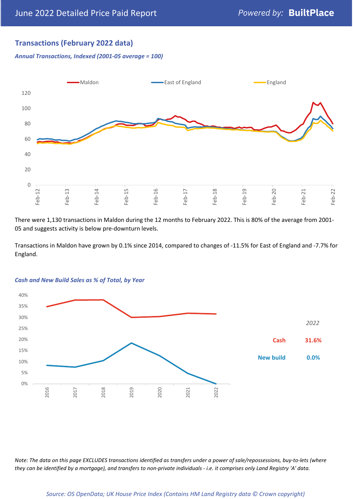### **Transactions (February 2022 data)**

*Annual Transactions, Indexed (2001-05 average = 100)*



There were 1,130 transactions in Maldon during the 12 months to February 2022. This is 80% of the average from 2001- 05 and suggests activity is below pre-downturn levels.

Transactions in Maldon have grown by 0.1% since 2014, compared to changes of -11.5% for East of England and -7.7% for England.



#### *Cash and New Build Sales as % of Total, by Year*

*Note: The data on this page EXCLUDES transactions identified as transfers under a power of sale/repossessions, buy-to-lets (where they can be identified by a mortgage), and transfers to non-private individuals - i.e. it comprises only Land Registry 'A' data.*